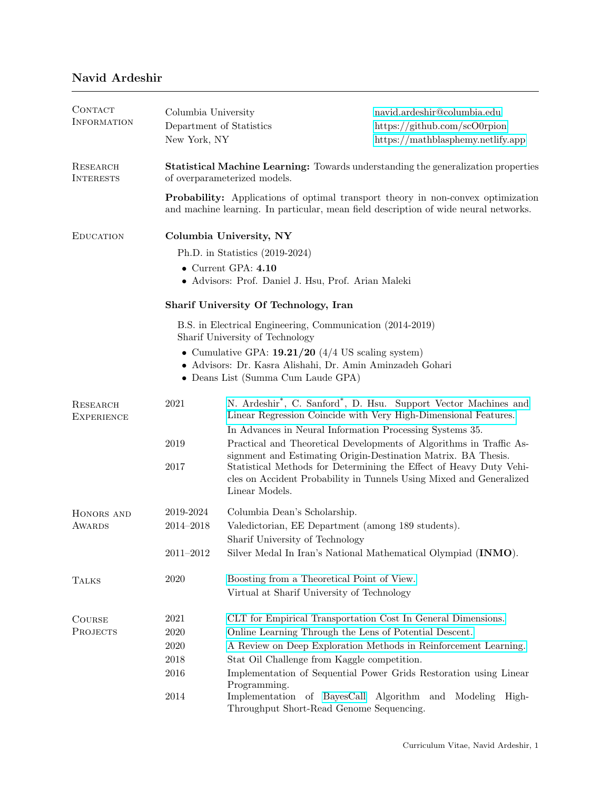## Navid Ardeshir

| CONTACT<br><b>INFORMATION</b> | Columbia University<br>Department of Statistics<br>New York, NY                                                                                                                 |                                                                                                                             | navid.ardeshir@columbia.edu<br>https://github.com/scO0rpion<br>https://mathblasphemy.netlify.app                                          |  |  |
|-------------------------------|---------------------------------------------------------------------------------------------------------------------------------------------------------------------------------|-----------------------------------------------------------------------------------------------------------------------------|-------------------------------------------------------------------------------------------------------------------------------------------|--|--|
| RESEARCH<br><b>INTERESTS</b>  | <b>Statistical Machine Learning:</b> Towards understanding the generalization properties<br>of overparameterized models.                                                        |                                                                                                                             |                                                                                                                                           |  |  |
|                               | <b>Probability:</b> Applications of optimal transport theory in non-convex optimization<br>and machine learning. In particular, mean field description of wide neural networks. |                                                                                                                             |                                                                                                                                           |  |  |
| <b>EDUCATION</b>              | Columbia University, NY                                                                                                                                                         |                                                                                                                             |                                                                                                                                           |  |  |
|                               | Ph.D. in Statistics $(2019-2024)$                                                                                                                                               |                                                                                                                             |                                                                                                                                           |  |  |
|                               | $\bullet$ Current GPA: $4.10$<br>• Advisors: Prof. Daniel J. Hsu, Prof. Arian Maleki                                                                                            |                                                                                                                             |                                                                                                                                           |  |  |
|                               | Sharif University Of Technology, Iran                                                                                                                                           |                                                                                                                             |                                                                                                                                           |  |  |
|                               | B.S. in Electrical Engineering, Communication (2014-2019)<br>Sharif University of Technology                                                                                    |                                                                                                                             |                                                                                                                                           |  |  |
|                               | • Cumulative GPA: $19.21/20$ (4/4 US scaling system)<br>• Advisors: Dr. Kasra Alishahi, Dr. Amin Aminzadeh Gohari<br>• Deans List (Summa Cum Laude GPA)                         |                                                                                                                             |                                                                                                                                           |  |  |
|                               |                                                                                                                                                                                 |                                                                                                                             |                                                                                                                                           |  |  |
| RESEARCH<br><b>EXPERIENCE</b> | 2021                                                                                                                                                                            | Linear Regression Coincide with Very High-Dimensional Features.<br>In Advances in Neural Information Processing Systems 35. | N. Ardeshir <sup>*</sup> , C. Sanford <sup>*</sup> , D. Hsu. Support Vector Machines and                                                  |  |  |
|                               | 2019                                                                                                                                                                            | signment and Estimating Origin-Destination Matrix. BA Thesis.                                                               | Practical and Theoretical Developments of Algorithms in Traffic As-                                                                       |  |  |
|                               | 2017                                                                                                                                                                            | Linear Models.                                                                                                              | Statistical Methods for Determining the Effect of Heavy Duty Vehi-<br>cles on Accident Probability in Tunnels Using Mixed and Generalized |  |  |
| HONORS AND<br><b>AWARDS</b>   | 2019-2024                                                                                                                                                                       | Columbia Dean's Scholarship.                                                                                                |                                                                                                                                           |  |  |
|                               | 2014-2018                                                                                                                                                                       | Valedictorian, EE Department (among 189 students).<br>Sharif University of Technology                                       |                                                                                                                                           |  |  |
|                               | $2011 - 2012$                                                                                                                                                                   |                                                                                                                             | Silver Medal In Iran's National Mathematical Olympiad (INMO).                                                                             |  |  |
| <b>TALKS</b>                  | 2020                                                                                                                                                                            | Boosting from a Theoretical Point of View.<br>Virtual at Sharif University of Technology                                    |                                                                                                                                           |  |  |
| <b>COURSE</b>                 | 2021                                                                                                                                                                            | CLT for Empirical Transportation Cost In General Dimensions.                                                                |                                                                                                                                           |  |  |
| <b>PROJECTS</b>               | 2020                                                                                                                                                                            | Online Learning Through the Lens of Potential Descent.                                                                      |                                                                                                                                           |  |  |
|                               | 2020                                                                                                                                                                            | A Review on Deep Exploration Methods in Reinforcement Learning.                                                             |                                                                                                                                           |  |  |
|                               | $\,2018$                                                                                                                                                                        | Stat Oil Challenge from Kaggle competition.                                                                                 |                                                                                                                                           |  |  |
|                               | 2016                                                                                                                                                                            | Programming.                                                                                                                | Implementation of Sequential Power Grids Restoration using Linear                                                                         |  |  |
|                               | 2014                                                                                                                                                                            | Implementation of BayesCall Algorithm and Modeling<br>Throughput Short-Read Genome Sequencing.                              | High-                                                                                                                                     |  |  |